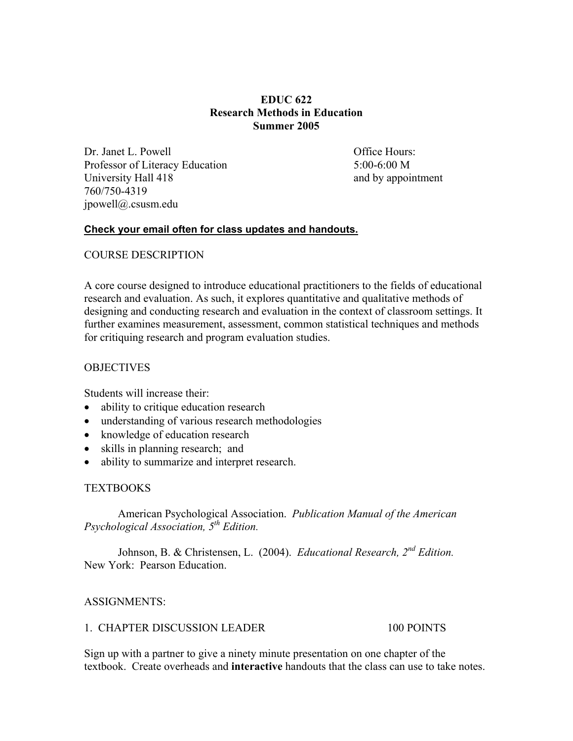## **EDUC 622 Research Methods in Education Summer 2005**

Dr. Janet L. Powell **Dr. Janet L. Powell Office Hours:** Professor of Literacy Education 5:00-6:00 M University Hall 418 and by appointment 760/750-4319 jpowell@.csusm.edu

## **Check your email often for class updates and handouts.**

## COURSE DESCRIPTION

A core course designed to introduce educational practitioners to the fields of educational research and evaluation. As such, it explores quantitative and qualitative methods of designing and conducting research and evaluation in the context of classroom settings. It further examines measurement, assessment, common statistical techniques and methods for critiquing research and program evaluation studies.

#### **OBJECTIVES**

Students will increase their:

- ability to critique education research
- understanding of various research methodologies
- knowledge of education research
- skills in planning research; and
- ability to summarize and interpret research.

#### TEXTBOOKS

 American Psychological Association. *Publication Manual of the American Psychological Association, 5th Edition.*

 Johnson, B. & Christensen, L. (2004). *Educational Research, 2nd Edition.*  New York: Pearson Education.

## ASSIGNMENTS:

#### 1. CHAPTER DISCUSSION LEADER 100 POINTS

Sign up with a partner to give a ninety minute presentation on one chapter of the textbook. Create overheads and **interactive** handouts that the class can use to take notes.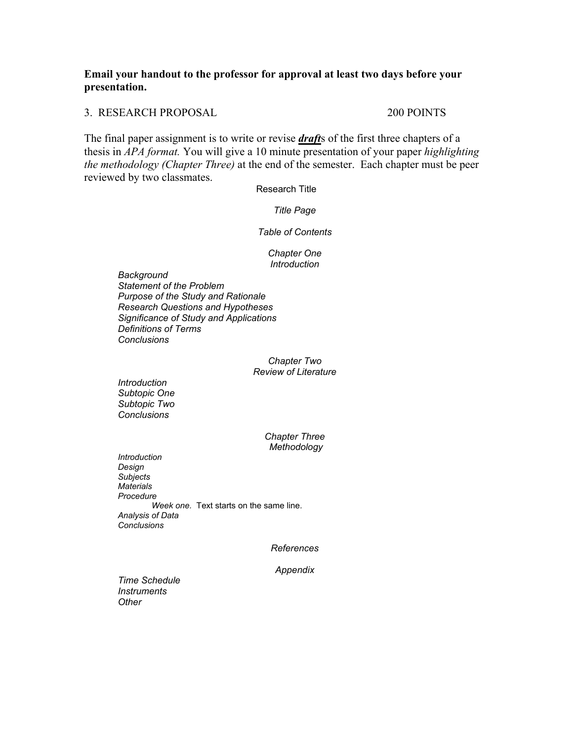## **Email your handout to the professor for approval at least two days before your presentation.**

3. RESEARCH PROPOSAL 200 POINTS

The final paper assignment is to write or revise *draft*s of the first three chapters of a thesis in *APA format.* You will give a 10 minute presentation of your paper *highlighting the methodology (Chapter Three)* at the end of the semester. Each chapter must be peer reviewed by two classmates.

Research Title

*Title Page* 

*Table of Contents* 

*Chapter One Introduction* 

*Background Statement of the Problem Purpose of the Study and Rationale Research Questions and Hypotheses Significance of Study and Applications Definitions of Terms Conclusions* 

> *Chapter Two Review of Literature*

*Introduction Subtopic One Subtopic Two Conclusions* 

> *Chapter Three Methodology*

*Introduction Design Subjects Materials Procedure Week one.* Text starts on the same line.  *Analysis of Data Conclusions* 

*References* 

*Appendix* 

*Time Schedule Instruments Other*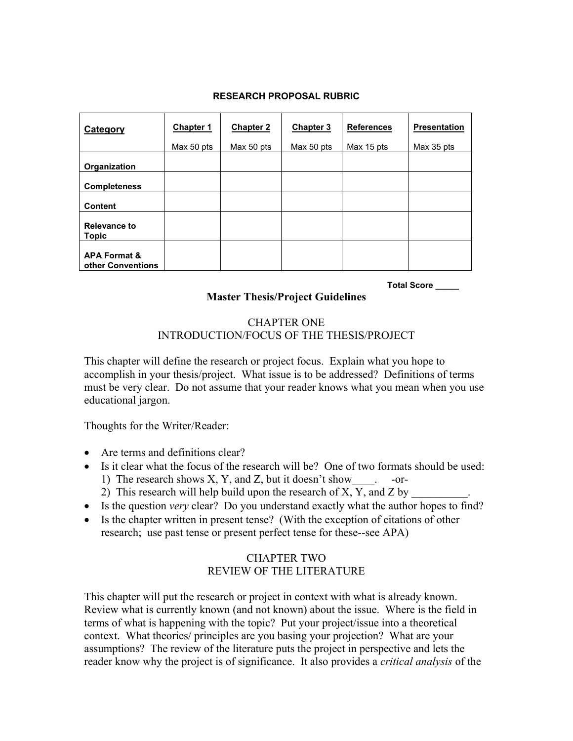#### **RESEARCH PROPOSAL RUBRIC**

| Category                                     | Chapter 1  | <b>Chapter 2</b> | <b>Chapter 3</b> | <b>References</b> | <b>Presentation</b> |
|----------------------------------------------|------------|------------------|------------------|-------------------|---------------------|
|                                              | Max 50 pts | Max 50 pts       | Max 50 pts       | Max 15 pts        | Max 35 pts          |
| Organization                                 |            |                  |                  |                   |                     |
| <b>Completeness</b>                          |            |                  |                  |                   |                     |
| <b>Content</b>                               |            |                  |                  |                   |                     |
| Relevance to<br><b>Topic</b>                 |            |                  |                  |                   |                     |
| <b>APA Format &amp;</b><br>other Conventions |            |                  |                  |                   |                     |

**Total Score \_\_\_\_\_** 

# **Master Thesis/Project Guidelines**

#### CHAPTER ONE INTRODUCTION/FOCUS OF THE THESIS/PROJECT

This chapter will define the research or project focus. Explain what you hope to accomplish in your thesis/project. What issue is to be addressed? Definitions of terms must be very clear. Do not assume that your reader knows what you mean when you use educational jargon.

Thoughts for the Writer/Reader:

- Are terms and definitions clear?
- Is it clear what the focus of the research will be? One of two formats should be used:
	- 1) The research shows X, Y, and Z, but it doesn't show \_\_\_\_\_\_ -or-
	- 2) This research will help build upon the research of X, Y, and Z by
- Is the question *very* clear? Do you understand exactly what the author hopes to find?
- Is the chapter written in present tense? (With the exception of citations of other research; use past tense or present perfect tense for these--see APA)

# CHAPTER TWO REVIEW OF THE LITERATURE

This chapter will put the research or project in context with what is already known. Review what is currently known (and not known) about the issue. Where is the field in terms of what is happening with the topic? Put your project/issue into a theoretical context. What theories/ principles are you basing your projection? What are your assumptions? The review of the literature puts the project in perspective and lets the reader know why the project is of significance. It also provides a *critical analysis* of the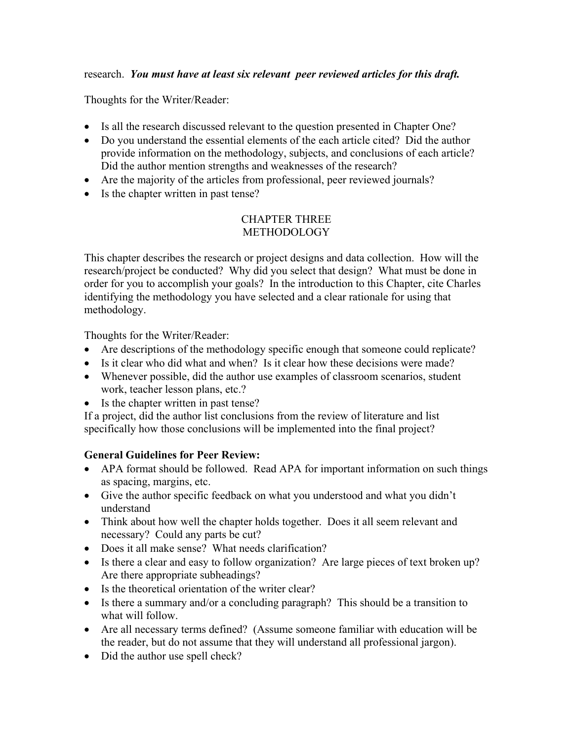# research. *You must have at least six relevant peer reviewed articles for this draft.*

Thoughts for the Writer/Reader:

- Is all the research discussed relevant to the question presented in Chapter One?
- Do you understand the essential elements of the each article cited? Did the author provide information on the methodology, subjects, and conclusions of each article? Did the author mention strengths and weaknesses of the research?
- Are the majority of the articles from professional, peer reviewed journals?
- Is the chapter written in past tense?

# CHAPTER THREE METHODOLOGY

This chapter describes the research or project designs and data collection. How will the research/project be conducted? Why did you select that design? What must be done in order for you to accomplish your goals? In the introduction to this Chapter, cite Charles identifying the methodology you have selected and a clear rationale for using that methodology.

Thoughts for the Writer/Reader:

- Are descriptions of the methodology specific enough that someone could replicate?
- Is it clear who did what and when? Is it clear how these decisions were made?
- Whenever possible, did the author use examples of classroom scenarios, student work, teacher lesson plans, etc.?
- Is the chapter written in past tense?

If a project, did the author list conclusions from the review of literature and list specifically how those conclusions will be implemented into the final project?

# **General Guidelines for Peer Review:**

- APA format should be followed. Read APA for important information on such things as spacing, margins, etc.
- Give the author specific feedback on what you understood and what you didn't understand
- Think about how well the chapter holds together. Does it all seem relevant and necessary? Could any parts be cut?
- Does it all make sense? What needs clarification?
- Is there a clear and easy to follow organization? Are large pieces of text broken up? Are there appropriate subheadings?
- Is the theoretical orientation of the writer clear?
- Is there a summary and/or a concluding paragraph? This should be a transition to what will follow.
- Are all necessary terms defined? (Assume someone familiar with education will be the reader, but do not assume that they will understand all professional jargon).
- Did the author use spell check?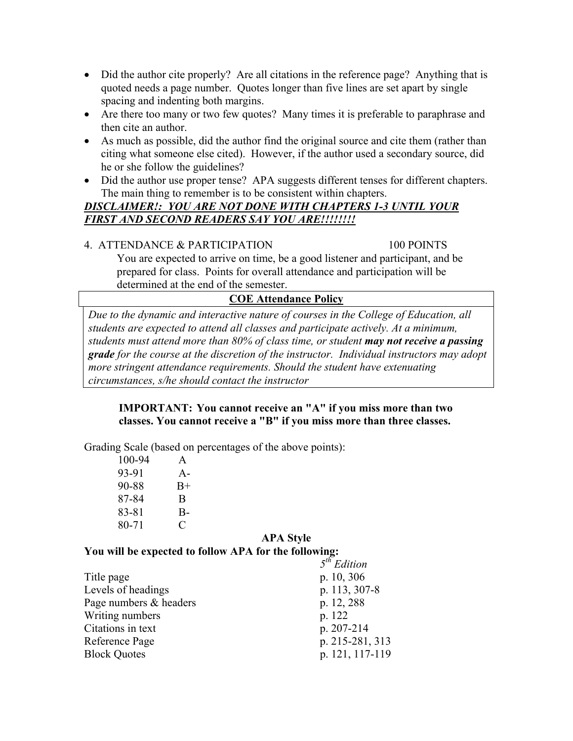- Did the author cite properly? Are all citations in the reference page? Anything that is quoted needs a page number. Quotes longer than five lines are set apart by single spacing and indenting both margins.
- Are there too many or two few quotes? Many times it is preferable to paraphrase and then cite an author.
- As much as possible, did the author find the original source and cite them (rather than citing what someone else cited). However, if the author used a secondary source, did he or she follow the guidelines?
- Did the author use proper tense? APA suggests different tenses for different chapters. The main thing to remember is to be consistent within chapters.

# *DISCLAIMER!: YOU ARE NOT DONE WITH CHAPTERS 1-3 UNTIL YOUR FIRST AND SECOND READERS SAY YOU ARE!!!!!!!!*

# 4. ATTENDANCE & PARTICIPATION 100 POINTS

You are expected to arrive on time, be a good listener and participant, and be prepared for class. Points for overall attendance and participation will be determined at the end of the semester.

# **COE Attendance Policy**

*Due to the dynamic and interactive nature of courses in the College of Education, all students are expected to attend all classes and participate actively. At a minimum, students must attend more than 80% of class time, or student may not receive a passing grade for the course at the discretion of the instructor. Individual instructors may adopt more stringent attendance requirements. Should the student have extenuating circumstances, s/he should contact the instructor* 

# **IMPORTANT: You cannot receive an "A" if you miss more than two classes. You cannot receive a "B" if you miss more than three classes.**

Grading Scale (based on percentages of the above points):

| 100-94 | A     |
|--------|-------|
| 93-91  | $A -$ |
| 90-88  | $B+$  |
| 87-84  | B     |
| 83-81  | $B -$ |
| 80-71  | €     |

## **APA Style**

# **You will be expected to follow APA for the following:**

|                        | $5^{th}$ Edition |
|------------------------|------------------|
| Title page             | p. 10, 306       |
| Levels of headings     | p. 113, 307-8    |
| Page numbers & headers | p. 12, 288       |
| Writing numbers        | p. 122           |
| Citations in text      | p. 207-214       |
| Reference Page         | p. 215-281, 313  |
| <b>Block Quotes</b>    | p. 121, 117-119  |
|                        |                  |